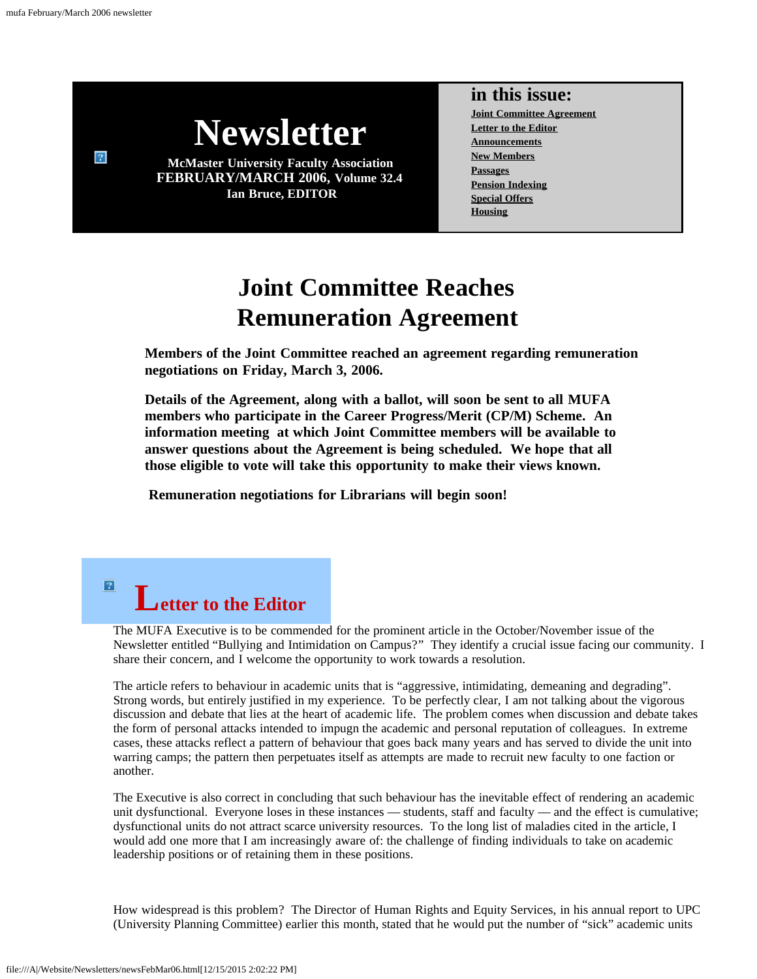$\sqrt{3}$ 

<span id="page-0-1"></span> $\sqrt{2}$ 



**FEBRUARY/MARCH 2006, Volume 32.4 Ian Bruce, EDITOR**

### **in this issue:**

**[Joint Committee Agreement](#page-0-0) [Letter to the Editor](#page-0-1) [Announcements](#page-1-0) [New Members](#page-2-0) [Passages](#page-2-1) [Pension Indexing](#page-3-0) [Special Offers](#page-4-0) [Housing](#page-4-1)**

## **Joint Committee Reaches Remuneration Agreement**

<span id="page-0-0"></span>**Members of the Joint Committee reached an agreement regarding remuneration negotiations on Friday, March 3, 2006.**

**Details of the Agreement, along with a ballot, will soon be sent to all MUFA members who participate in the Career Progress/Merit (CP/M) Scheme. An information meeting at which Joint Committee members will be available to answer questions about the Agreement is being scheduled. We hope that all those eligible to vote will take this opportunity to make their views known.**

**Remuneration negotiations for Librarians will begin soon!**

# **Letter to the Editor**

The MUFA Executive is to be commended for the prominent article in the October/November issue of the Newsletter entitled "Bullying and Intimidation on Campus?" They identify a crucial issue facing our community. I share their concern, and I welcome the opportunity to work towards a resolution.

The article refers to behaviour in academic units that is "aggressive, intimidating, demeaning and degrading". Strong words, but entirely justified in my experience. To be perfectly clear, I am not talking about the vigorous discussion and debate that lies at the heart of academic life. The problem comes when discussion and debate takes the form of personal attacks intended to impugn the academic and personal reputation of colleagues. In extreme cases, these attacks reflect a pattern of behaviour that goes back many years and has served to divide the unit into warring camps; the pattern then perpetuates itself as attempts are made to recruit new faculty to one faction or another.

The Executive is also correct in concluding that such behaviour has the inevitable effect of rendering an academic unit dysfunctional. Everyone loses in these instances — students, staff and faculty — and the effect is cumulative; dysfunctional units do not attract scarce university resources. To the long list of maladies cited in the article, I would add one more that I am increasingly aware of: the challenge of finding individuals to take on academic leadership positions or of retaining them in these positions.

How widespread is this problem? The Director of Human Rights and Equity Services, in his annual report to UPC (University Planning Committee) earlier this month, stated that he would put the number of "sick" academic units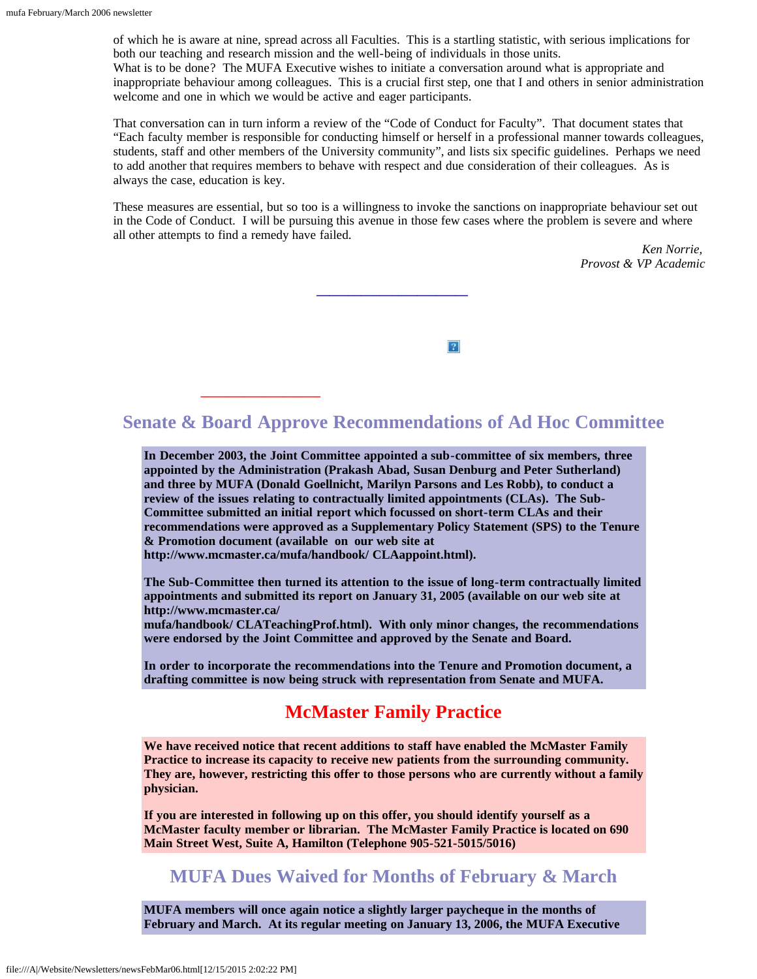of which he is aware at nine, spread across all Faculties. This is a startling statistic, with serious implications for both our teaching and research mission and the well-being of individuals in those units. What is to be done? The MUFA Executive wishes to initiate a conversation around what is appropriate and inappropriate behaviour among colleagues. This is a crucial first step, one that I and others in senior administration welcome and one in which we would be active and eager participants.

That conversation can in turn inform a review of the "Code of Conduct for Faculty". That document states that "Each faculty member is responsible for conducting himself or herself in a professional manner towards colleagues, students, staff and other members of the University community", and lists six specific guidelines. Perhaps we need to add another that requires members to behave with respect and due consideration of their colleagues. As is always the case, education is key.

<span id="page-1-0"></span>These measures are essential, but so too is a willingness to invoke the sanctions on inappropriate behaviour set out in the Code of Conduct. I will be pursuing this avenue in those few cases where the problem is severe and where all other attempts to find a remedy have failed.

> *Ken Norrie, Provost & VP Academic*



## **Senate & Board Approve Recommendations of Ad Hoc Committee**

**\_\_\_\_\_\_\_\_\_\_\_\_\_\_\_\_\_\_\_**

**\_\_\_\_\_\_\_\_\_\_\_\_\_\_\_\_\_\_\_\_\_\_\_\_**

**In December 2003, the Joint Committee appointed a sub-committee of six members, three appointed by the Administration (Prakash Abad, Susan Denburg and Peter Sutherland) and three by MUFA (Donald Goellnicht, Marilyn Parsons and Les Robb), to conduct a review of the issues relating to contractually limited appointments (CLAs). The Sub-Committee submitted an initial report which focussed on short-term CLAs and their recommendations were approved as a Supplementary Policy Statement (SPS) to the Tenure & Promotion document (available on our web site at http://www.mcmaster.ca/mufa/handbook/ CLAappoint.html).**

**The Sub-Committee then turned its attention to the issue of long-term contractually limited appointments and submitted its report on January 31, 2005 (available on our web site at http://www.mcmaster.ca/**

**mufa/handbook/ CLATeachingProf.html). With only minor changes, the recommendations were endorsed by the Joint Committee and approved by the Senate and Board.**

**In order to incorporate the recommendations into the Tenure and Promotion document, a drafting committee is now being struck with representation from Senate and MUFA.**

## **McMaster Family Practice**

**We have received notice that recent additions to staff have enabled the McMaster Family Practice to increase its capacity to receive new patients from the surrounding community. They are, however, restricting this offer to those persons who are currently without a family physician.**

**If you are interested in following up on this offer, you should identify yourself as a McMaster faculty member or librarian. The McMaster Family Practice is located on 690 Main Street West, Suite A, Hamilton (Telephone 905-521-5015/5016)**

### **MUFA Dues Waived for Months of February & March**

**MUFA members will once again notice a slightly larger paycheque in the months of February and March. At its regular meeting on January 13, 2006, the MUFA Executive**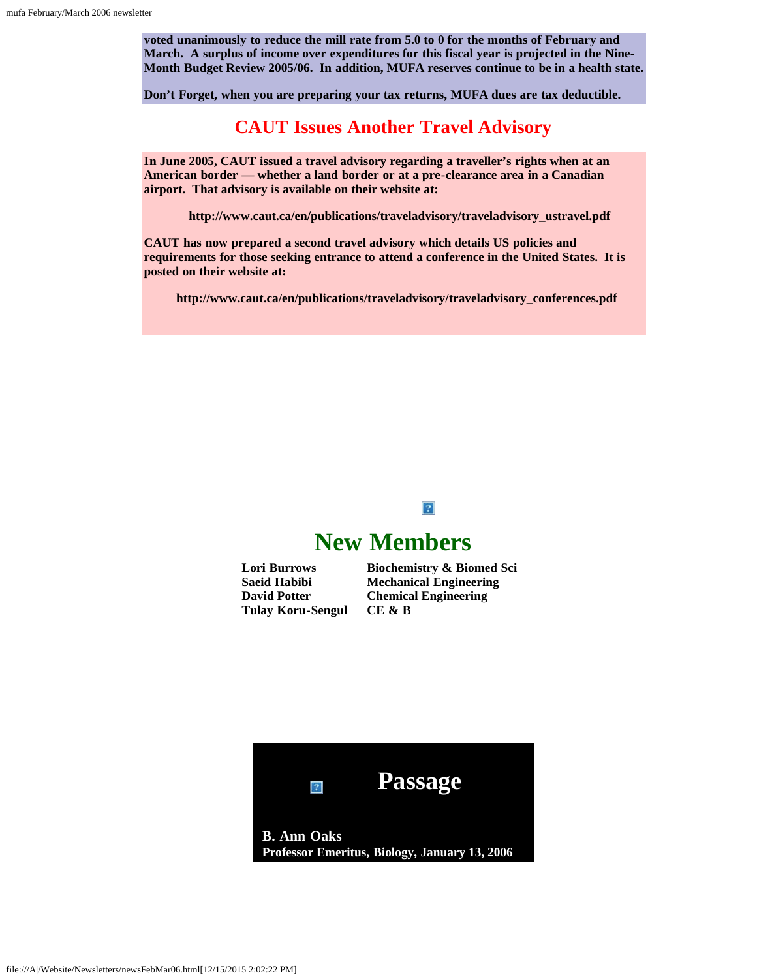**voted unanimously to reduce the mill rate from 5.0 to 0 for the months of February and March. A surplus of income over expenditures for this fiscal year is projected in the Nine-Month Budget Review 2005/06. In addition, MUFA reserves continue to be in a health state.**

**Don't Forget, when you are preparing your tax returns, MUFA dues are tax deductible.**

### **CAUT Issues Another Travel Advisory**

**In June 2005, CAUT issued a travel advisory regarding a traveller's rights when at an American border — whether a land border or at a pre-clearance area in a Canadian airport. That advisory is available on their website at:**

 **[http://www.caut.ca/en/publications/traveladvisory/traveladvisory\\_ustravel.pdf](http://www.caut.ca/en/publications/traveladvisory/traveladvisory_ustravel.pdf)**

**CAUT has now prepared a second travel advisory which details US policies and requirements for those seeking entrance to attend a conference in the United States. It is posted on their website at:**

<span id="page-2-0"></span>**[http://www.caut.ca/en/publications/traveladvisory/traveladvisory\\_conferences.pdf](http://www.caut.ca/en/publications/traveladvisory/traveladvisory_conferences.pdf)**

### $|2|$

## **New Members**

<span id="page-2-1"></span>**Lori Burrows Saeid Habibi David Potter Tulay Koru-Sengul**

**Biochemistry & Biomed Sci Mechanical Engineering Chemical Engineering CE & B**

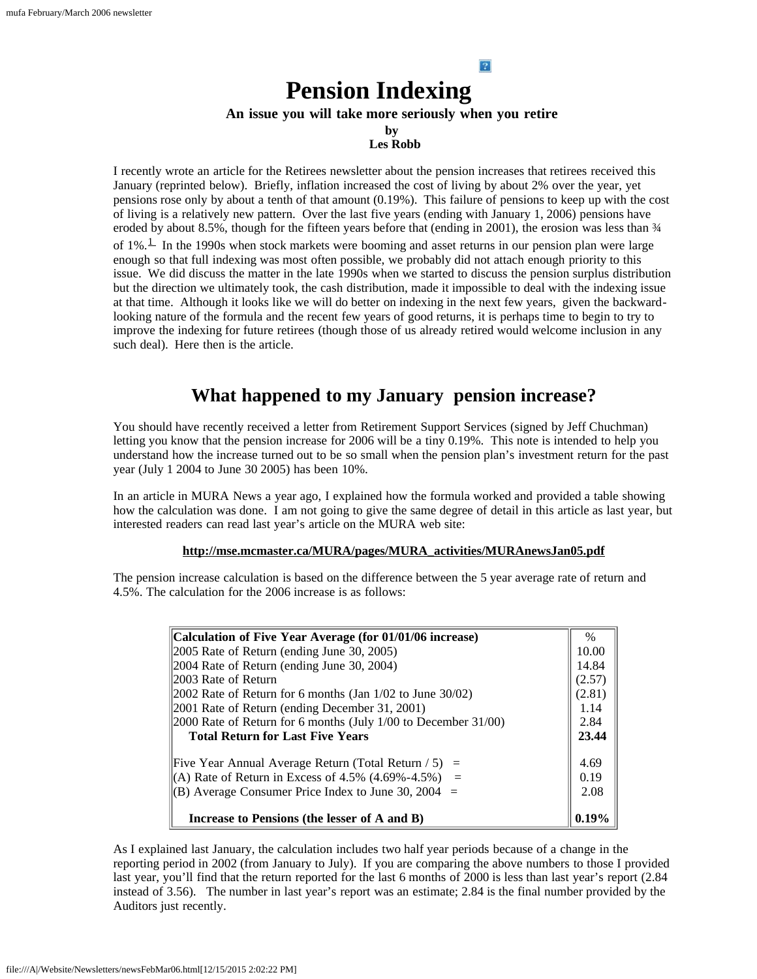## **Pension Indexing**

#### **An issue you will take more seriously when you retire**

 $\left| \cdot \right\rangle$ 

**by**

### **Les Robb**

<span id="page-3-0"></span>I recently wrote an article for the Retirees newsletter about the pension increases that retirees received this January (reprinted below). Briefly, inflation increased the cost of living by about 2% over the year, yet pensions rose only by about a tenth of that amount (0.19%). This failure of pensions to keep up with the cost of living is a relatively new pattern. Over the last five years (ending with January 1, 2006) pensions have eroded by about 8.5%, though for the fifteen years before that (ending in 2001), the erosion was less than  $\frac{3}{4}$ of  $1\%$  $1\%$ .<sup>1</sup> In the 1990s when stock markets were booming and asset returns in our pension plan were large enough so that full indexing was most often possible, we probably did not attach enough priority to this issue. We did discuss the matter in the late 1990s when we started to discuss the pension surplus distribution but the direction we ultimately took, the cash distribution, made it impossible to deal with the indexing issue at that time. Although it looks like we will do better on indexing in the next few years, given the backwardlooking nature of the formula and the recent few years of good returns, it is perhaps time to begin to try to improve the indexing for future retirees (though those of us already retired would welcome inclusion in any such deal). Here then is the article.

## **What happened to my January pension increase?**

You should have recently received a letter from Retirement Support Services (signed by Jeff Chuchman) letting you know that the pension increase for 2006 will be a tiny 0.19%. This note is intended to help you understand how the increase turned out to be so small when the pension plan's investment return for the past year (July 1 2004 to June 30 2005) has been 10%.

In an article in MURA News a year ago, I explained how the formula worked and provided a table showing how the calculation was done. I am not going to give the same degree of detail in this article as last year, but interested readers can read last year's article on the MURA web site:

#### **[http://mse.mcmaster.ca/MURA/pages/MURA\\_activities/MURAnewsJan05.pdf](http://mse.mcmaster.ca/MURA/pages/MURA_activities/MURAnewsJan05.pdf)**

The pension increase calculation is based on the difference between the 5 year average rate of return and 4.5%. The calculation for the 2006 increase is as follows:

| Calculation of Five Year Average (for 01/01/06 increase)                                | $\%$   |
|-----------------------------------------------------------------------------------------|--------|
| $ 2005 \text{ Rate of Return (ending June 30, 2005)} $                                  | 10.00  |
| 2004 Rate of Return (ending June 30, 2004)                                              | 14.84  |
| 2003 Rate of Return                                                                     | (2.57) |
| $ 2002 \text{ Rate of Return for } 6 \text{ months (Jan } 1/02 \text{ to June } 30/02)$ | (2.81) |
| 2001 Rate of Return (ending December 31, 2001)                                          | 1.14   |
| 2000 Rate of Return for 6 months (July 1/00 to December 31/00)                          | 2.84   |
| <b>Total Return for Last Five Years</b>                                                 | 23.44  |
| Five Year Annual Average Return (Total Return $/ 5$ ) =                                 | 4.69   |
| (A) Rate of Return in Excess of 4.5% $(4.69\% - 4.5\%)$ =                               | 0.19   |
| (B) Average Consumer Price Index to June 30, 2004 $=$                                   | 2.08   |
| Increase to Pensions (the lesser of A and B)                                            | 0.19%  |

As I explained last January, the calculation includes two half year periods because of a change in the reporting period in 2002 (from January to July). If you are comparing the above numbers to those I provided last year, you'll find that the return reported for the last 6 months of 2000 is less than last year's report (2.84 instead of 3.56). The number in last year's report was an estimate; 2.84 is the final number provided by the Auditors just recently.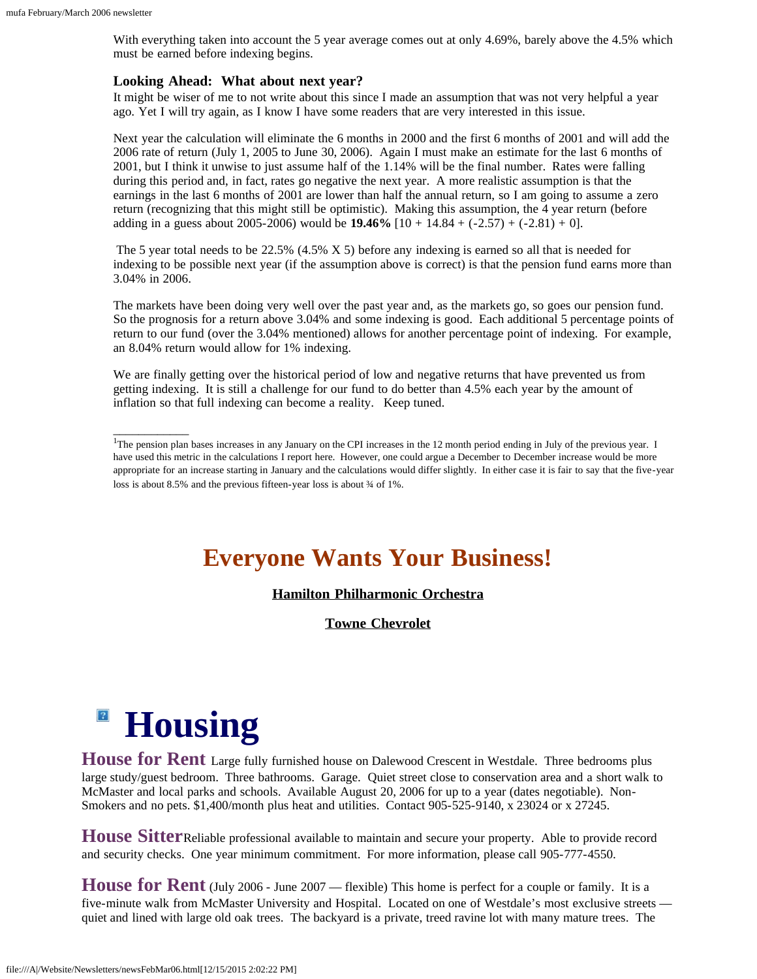With everything taken into account the 5 year average comes out at only 4.69%, barely above the 4.5% which must be earned before indexing begins.

#### **Looking Ahead: What about next year?**

It might be wiser of me to not write about this since I made an assumption that was not very helpful a year ago. Yet I will try again, as I know I have some readers that are very interested in this issue.

Next year the calculation will eliminate the 6 months in 2000 and the first 6 months of 2001 and will add the 2006 rate of return (July 1, 2005 to June 30, 2006). Again I must make an estimate for the last 6 months of 2001, but I think it unwise to just assume half of the 1.14% will be the final number. Rates were falling during this period and, in fact, rates go negative the next year. A more realistic assumption is that the earnings in the last 6 months of 2001 are lower than half the annual return, so I am going to assume a zero return (recognizing that this might still be optimistic). Making this assumption, the 4 year return (before adding in a guess about 2005-2006) would be **19.46%**  $[10 + 14.84 + (-2.57) + (-2.81) + 0]$ .

The 5 year total needs to be 22.5% (4.5% X 5) before any indexing is earned so all that is needed for indexing to be possible next year (if the assumption above is correct) is that the pension fund earns more than 3.04% in 2006.

The markets have been doing very well over the past year and, as the markets go, so goes our pension fund. So the prognosis for a return above 3.04% and some indexing is good. Each additional 5 percentage points of return to our fund (over the 3.04% mentioned) allows for another percentage point of indexing. For example, an 8.04% return would allow for 1% indexing.

We are finally getting over the historical period of low and negative returns that have prevented us from getting indexing. It is still a challenge for our fund to do better than 4.5% each year by the amount of inflation so that full indexing can become a reality. Keep tuned.

## **Everyone Wants Your Business!**

#### **[Hamilton Philharmonic Orchestra](file:///A|/Website/Newsletters/HPO.html)**

**[Towne Chevrolet](file:///A|/Website/Newsletters/GM-Honda.html)**

# **Housing**

\_\_\_\_\_\_\_\_\_\_\_\_

<span id="page-4-1"></span>House for Rent Large fully furnished house on Dalewood Crescent in Westdale. Three bedrooms plus large study/guest bedroom. Three bathrooms. Garage. Quiet street close to conservation area and a short walk to McMaster and local parks and schools. Available August 20, 2006 for up to a year (dates negotiable). Non-Smokers and no pets. \$1,400/month plus heat and utilities. Contact 905-525-9140, x 23024 or x 27245.

**House Sitter**Reliable professional available to maintain and secure your property. Able to provide record and security checks. One year minimum commitment. For more information, please call 905-777-4550.

**House for Rent** (July 2006 - June 2007 — flexible) This home is perfect for a couple or family. It is a five-minute walk from McMaster University and Hospital. Located on one of Westdale's most exclusive streets quiet and lined with large old oak trees. The backyard is a private, treed ravine lot with many mature trees. The

<span id="page-4-2"></span><span id="page-4-0"></span><sup>&</sup>lt;sup>1</sup>The pension plan bases increases in any January on the CPI increases in the 12 month period ending in July of the previous year. I have used this metric in the calculations I report here. However, one could argue a December to December increase would be more appropriate for an increase starting in January and the calculations would differ slightly. In either case it is fair to say that the five-year loss is about 8.5% and the previous fifteen-year loss is about  $\frac{3}{4}$  of 1%.